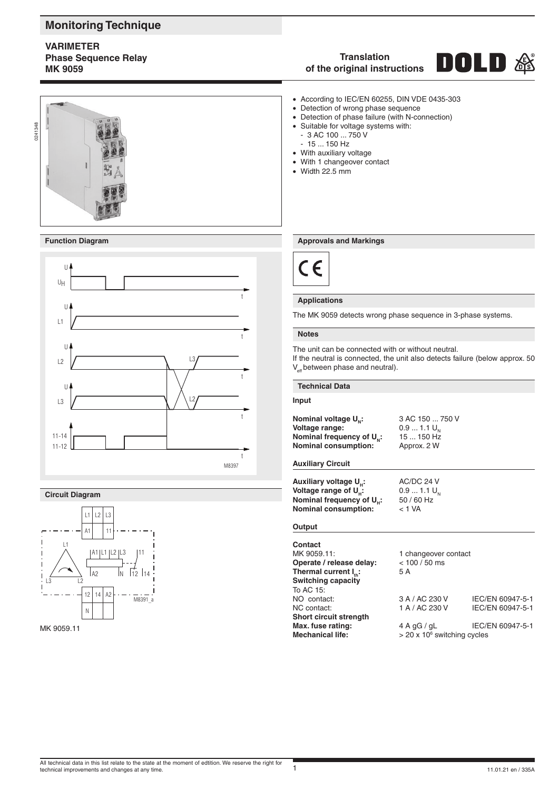# **Monitoring Technique**

# **VARIMETER Phase Sequence Relay MK 9059**

# **Translation** DOLD



# **Function Diagram**



### **Circuit Diagram**



#### MK 9059.11

# **of the original instructions**

- According to IEC/EN 60255, DIN VDE 0435-303<br>• Detection of wrong phase sequence
- Detection of wrong phase sequence
- Detection of phase failure (with N-connection)
- Suitable for voltage systems with:
	- 3 AC 100 ... 750 V
- 15 ... 150 Hz
- With auxiliary voltage
- With 1 changeover contact
- Width 22.5 mm

# **Approvals and Markings**



#### **Applications**

The MK 9059 detects wrong phase sequence in 3-phase systems.

#### **Notes**

The unit can be connected with or without neutral.

If the neutral is connected, the unit also detects failure (below approx. 50  $V_{\text{eff}}$  between phase and neutral).

#### **Technical Data**

# **Input**

**Nominal voltage**  $U_{N}$ **:** 3 AC 150 ... 750 V<br>**Voltage range:** 0.9 ... 1.1  $U_{N}$ **Voltage range:** 0.9 ... 1.1 U<sub>N</sub><br>**Nominal frequency of U<sub>N</sub>:** 15 ... 150 Hz **Nominal frequency of U<sub>N</sub>: 15 ... 150 H<sub>2</sub><br><b>Nominal consumption:** Approx. 2 W **Nominal consumption:** 

# **Auxiliary Circuit**

**Auxiliary voltage**  $U_H$ **:** AC/DC 24 V<br>**Voltage range of**  $U_H$ **:** 0.9 ... 1.1  $U_N$ **Voltage range of U<sub>H</sub>:** 0.9 ... 1.1 U<br>**Nominal frequency of U.:** 50/60 Hz **Nominal frequency of**  $U_H$ **:** 50/60<br>**Nominal consumption:**  $\leq 1 \text{ VA}$ **Nominal consumption:** 

# **Output**

| Contact                           |                                            |                  |
|-----------------------------------|--------------------------------------------|------------------|
| MK 9059.11:                       | 1 changeover contact                       |                  |
| Operate / release delay:          | $< 100 / 50$ ms                            |                  |
| Thermal current I <sub>n.</sub> : | 5 A                                        |                  |
| <b>Switching capacity</b>         |                                            |                  |
| To AC 15:                         |                                            |                  |
| NO contact:                       | 3 A / AC 230 V                             | IEC/EN 60947-5-1 |
| NC contact:                       | 1 A / AC 230 V                             | IEC/EN 60947-5-1 |
| Short circuit strength            |                                            |                  |
| Max. fuse rating:                 | 4 A qG / qL                                | IEC/EN 60947-5-1 |
| <b>Mechanical life:</b>           | $>$ 20 x 10 $\textdegree$ switching cycles |                  |